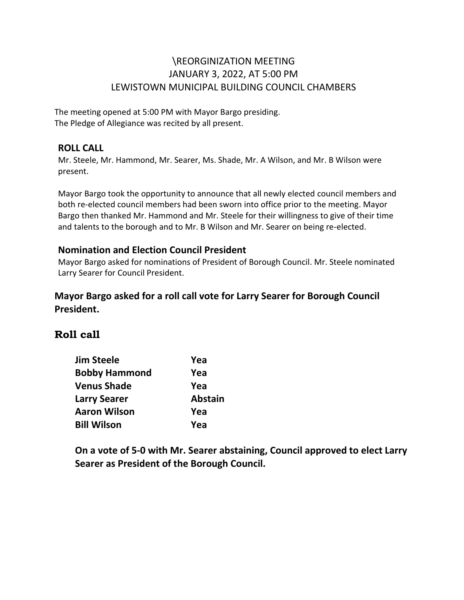## \REORGINIZATION MEETING JANUARY 3, 2022, AT 5:00 PM LEWISTOWN MUNICIPAL BUILDING COUNCIL CHAMBERS

The meeting opened at 5:00 PM with Mayor Bargo presiding. The Pledge of Allegiance was recited by all present.

#### **ROLL CALL**

Mr. Steele, Mr. Hammond, Mr. Searer, Ms. Shade, Mr. A Wilson, and Mr. B Wilson were present.

Mayor Bargo took the opportunity to announce that all newly elected council members and both re-elected council members had been sworn into office prior to the meeting. Mayor Bargo then thanked Mr. Hammond and Mr. Steele for their willingness to give of their time and talents to the borough and to Mr. B Wilson and Mr. Searer on being re-elected.

#### **Nomination and Election Council President**

Mayor Bargo asked for nominations of President of Borough Council. Mr. Steele nominated Larry Searer for Council President.

### **Mayor Bargo asked for a roll call vote for Larry Searer for Borough Council President.**

# **Roll call**

| Jim Steele           | Yea            |
|----------------------|----------------|
| <b>Bobby Hammond</b> | Yea            |
| <b>Venus Shade</b>   | Yea            |
| <b>Larry Searer</b>  | <b>Abstain</b> |
| Aaron Wilson         | Yea            |
| <b>Bill Wilson</b>   | Yea            |

**On a vote of 5-0 with Mr. Searer abstaining, Council approved to elect Larry Searer as President of the Borough Council.**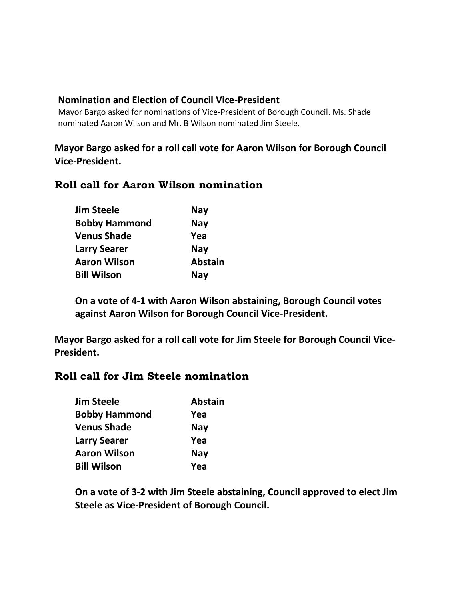#### **Nomination and Election of Council Vice-President**

Mayor Bargo asked for nominations of Vice-President of Borough Council. Ms. Shade nominated Aaron Wilson and Mr. B Wilson nominated Jim Steele.

### **Mayor Bargo asked for a roll call vote for Aaron Wilson for Borough Council Vice-President.**

### **Roll call for Aaron Wilson nomination**

| <b>Jim Steele</b>    | <b>Nay</b>     |
|----------------------|----------------|
| <b>Bobby Hammond</b> | <b>Nay</b>     |
| <b>Venus Shade</b>   | Yea            |
| <b>Larry Searer</b>  | <b>Nay</b>     |
| <b>Aaron Wilson</b>  | <b>Abstain</b> |
| <b>Bill Wilson</b>   | <b>Nay</b>     |

**On a vote of 4-1 with Aaron Wilson abstaining, Borough Council votes against Aaron Wilson for Borough Council Vice-President.**

**Mayor Bargo asked for a roll call vote for Jim Steele for Borough Council Vice-President.**

### **Roll call for Jim Steele nomination**

| Jim Steele           | <b>Abstain</b> |  |
|----------------------|----------------|--|
| <b>Bobby Hammond</b> | Yea            |  |
| <b>Venus Shade</b>   | <b>Nay</b>     |  |
| <b>Larry Searer</b>  | Yea            |  |
| Aaron Wilson         | <b>Nay</b>     |  |
| <b>Bill Wilson</b>   | Yea            |  |

**On a vote of 3-2 with Jim Steele abstaining, Council approved to elect Jim Steele as Vice-President of Borough Council.**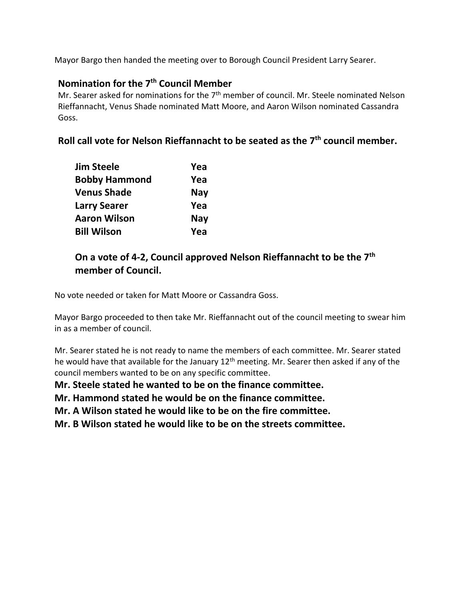Mayor Bargo then handed the meeting over to Borough Council President Larry Searer.

### **Nomination for the 7th Council Member**

Mr. Searer asked for nominations for the  $7<sup>th</sup>$  member of council. Mr. Steele nominated Nelson Rieffannacht, Venus Shade nominated Matt Moore, and Aaron Wilson nominated Cassandra Goss.

**Roll call vote for Nelson Rieffannacht to be seated as the 7th council member.** 

| Jim Steele           | Yea        |
|----------------------|------------|
| <b>Bobby Hammond</b> | Yea        |
| <b>Venus Shade</b>   | <b>Nay</b> |
| <b>Larry Searer</b>  | Yea        |
| Aaron Wilson         | <b>Nay</b> |
| <b>Bill Wilson</b>   | Yea        |

### **On a vote of 4-2, Council approved Nelson Rieffannacht to be the 7th member of Council.**

No vote needed or taken for Matt Moore or Cassandra Goss.

Mayor Bargo proceeded to then take Mr. Rieffannacht out of the council meeting to swear him in as a member of council.

Mr. Searer stated he is not ready to name the members of each committee. Mr. Searer stated he would have that available for the January  $12<sup>th</sup>$  meeting. Mr. Searer then asked if any of the council members wanted to be on any specific committee.

**Mr. Steele stated he wanted to be on the finance committee.** 

**Mr. Hammond stated he would be on the finance committee.** 

**Mr. A Wilson stated he would like to be on the fire committee.** 

**Mr. B Wilson stated he would like to be on the streets committee.**